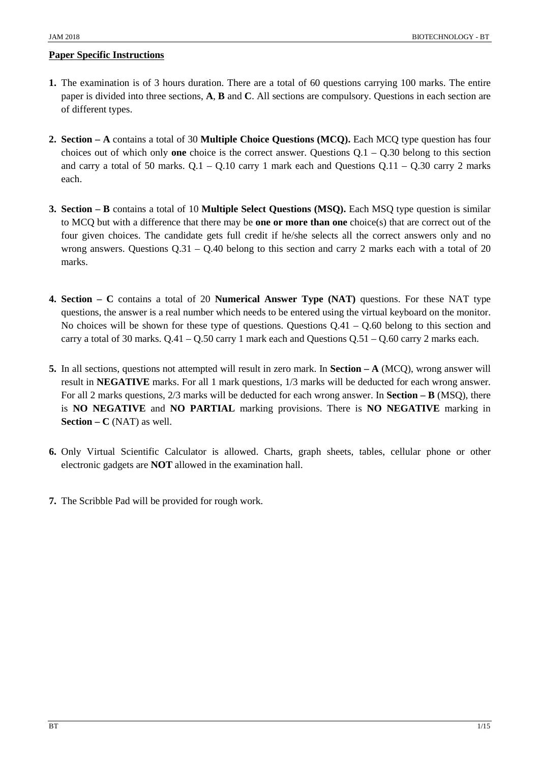- **1.** The examination is of 3 hours duration. There are a total of 60 questions carrying 100 marks. The entire paper is divided into three sections, **A**, **B** and **C**. All sections are compulsory. Questions in each section are of different types.
- **2. Section – A** contains a total of 30 **Multiple Choice Questions (MCQ).** Each MCQ type question has four choices out of which only **one** choice is the correct answer. Questions Q.1 – Q.30 belong to this section and carry a total of 50 marks.  $Q.1 - Q.10$  carry 1 mark each and Questions  $Q.11 - Q.30$  carry 2 marks each.
- **3. Section – B** contains a total of 10 **Multiple Select Questions (MSQ).** Each MSQ type question is similar to MCQ but with a difference that there may be **one or more than one** choice(s) that are correct out of the four given choices. The candidate gets full credit if he/she selects all the correct answers only and no wrong answers. Questions Q.31 – Q.40 belong to this section and carry 2 marks each with a total of 20 marks.
- **4. Section – C** contains a total of 20 **Numerical Answer Type (NAT)** questions. For these NAT type questions, the answer is a real number which needs to be entered using the virtual keyboard on the monitor. No choices will be shown for these type of questions. Questions  $Q.41 - Q.60$  belong to this section and carry a total of 30 marks. Q.41 – Q.50 carry 1 mark each and Questions Q.51 – Q.60 carry 2 marks each.
- **5.** In all sections, questions not attempted will result in zero mark. In **Section – A** (MCQ), wrong answer will result in **NEGATIVE** marks. For all 1 mark questions, 1/3 marks will be deducted for each wrong answer. For all 2 marks questions, 2/3 marks will be deducted for each wrong answer. In **Section – B** (MSQ), there is **NO NEGATIVE** and **NO PARTIAL** marking provisions. There is **NO NEGATIVE** marking in **Section – C** (NAT) as well.
- **6.** Only Virtual Scientific Calculator is allowed. Charts, graph sheets, tables, cellular phone or other electronic gadgets are **NOT** allowed in the examination hall.
- **7.** The Scribble Pad will be provided for rough work.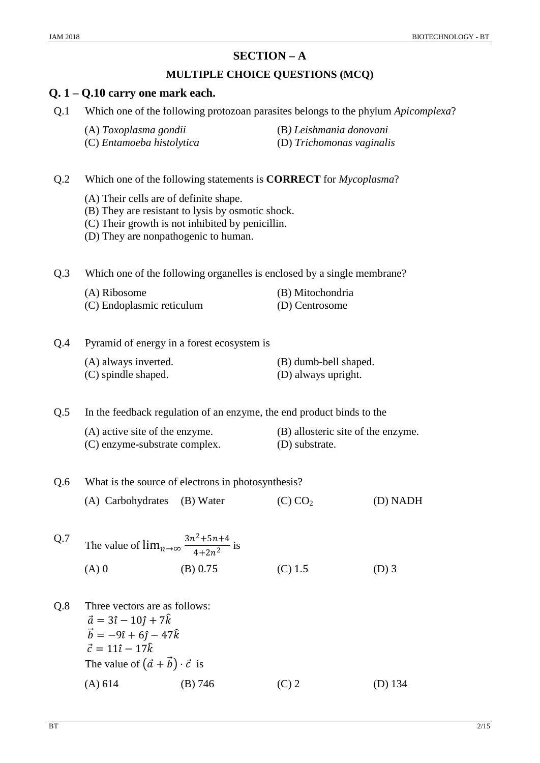# **SECTION – A**

## **MULTIPLE CHOICE QUESTIONS (MCQ)**

### **Q. 1 – Q.10 carry one mark each.**

- Q.1 Which one of the following protozoan parasites belongs to the phylum *Apicomplexa*?
	-
	- (A) *Toxoplasma gondii* (B*) Leishmania donovani*
	- (C) *Entamoeba histolytica* (D) *Trichomonas vaginalis*

Q.2 Which one of the following statements is **CORRECT** for *Mycoplasma*?

- (A) Their cells are of definite shape.
- (B) They are resistant to lysis by osmotic shock.
- (C) Their growth is not inhibited by penicillin.
- (D) They are nonpathogenic to human.

Q.3 Which one of the following organelles is enclosed by a single membrane?

- (A) Ribosome (B) Mitochondria
- (C) Endoplasmic reticulum (D) Centrosome

Q.4 Pyramid of energy in a forest ecosystem is

| (A) always inverted. | (B) dumb-bell shaped. |
|----------------------|-----------------------|
| (C) spindle shaped.  | (D) always upright.   |

Q.5 In the feedback regulation of an enzyme, the end product binds to the

| (A) active site of the enzyme. | (B) allosteric site of the enzyme. |
|--------------------------------|------------------------------------|
| (C) enzyme-substrate complex.  | (D) substrate.                     |

- Q.6 What is the source of electrons in photosynthesis?
	- (A) Carbohydrates (B) Water (C)  $CO<sub>2</sub>$  (D) NADH
- Q.7 The value of  $\lim_{n\to\infty} \frac{3n^2+5n+4}{4+2n^2}$  is (A) 0 (B) 0.75 (C) 1.5 (D) 3
- Q.8 Three vectors are as follows:  $\vec{a} = 3\hat{i} - 10\hat{j} + 7\hat{k}$  $\vec{b} = -9\hat{i} + 6\hat{j} - 47\hat{k}$  $\vec{c} = 11\hat{i} - 17\hat{k}$ The value of  $(\vec{a} + \vec{b}) \cdot \vec{c}$  is (A) 614 (B) 746 (C) 2 (D) 134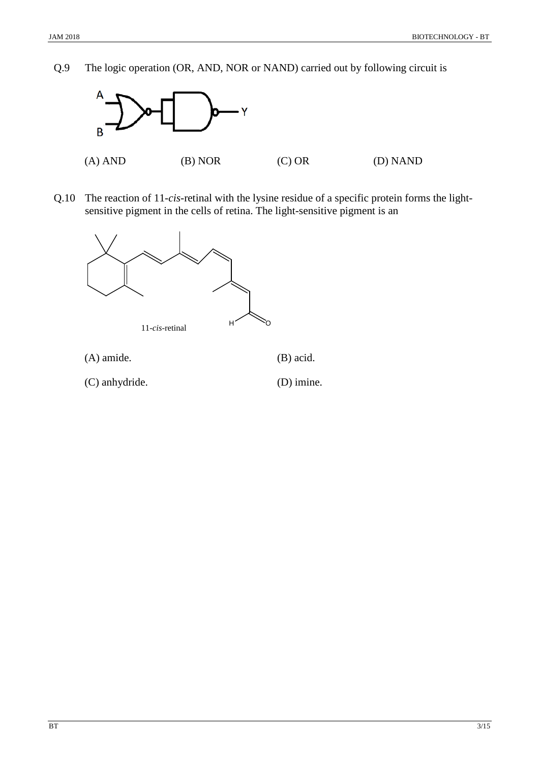Q.9 The logic operation (OR, AND, NOR or NAND) carried out by following circuit is



Q.10 The reaction of 11-*cis*-retinal with the lysine residue of a specific protein forms the lightsensitive pigment in the cells of retina. The light-sensitive pigment is an



(C) anhydride. (D) imine.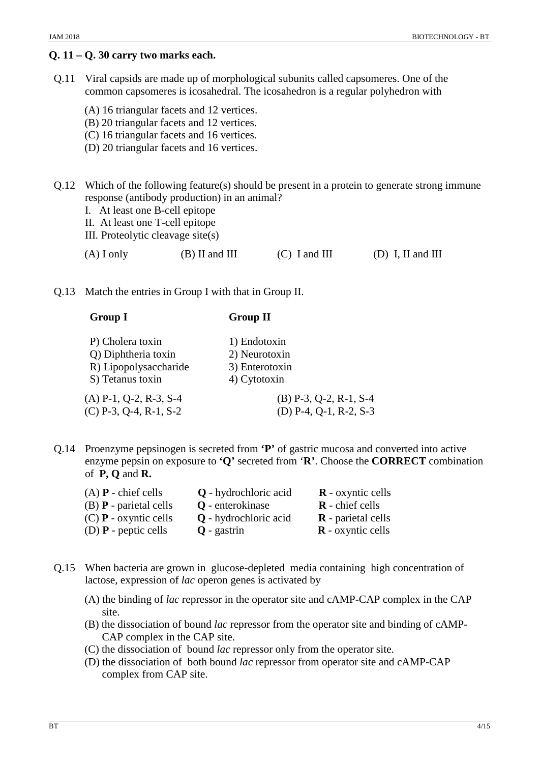#### **Q. 11 – Q. 30 carry two marks each.**

- Q.11 Viral capsids are made up of morphological subunits called capsomeres. One of the common capsomeres is icosahedral. The icosahedron is a regular polyhedron with
	- (A) 16 triangular facets and 12 vertices.
	- (B) 20 triangular facets and 12 vertices.
	- (C) 16 triangular facets and 16 vertices.
	- (D) 20 triangular facets and 16 vertices.
- Q.12 Which of the following feature(s) should be present in a protein to generate strong immune response (antibody production) in an animal?
	- I. At least one B-cell epitope
	- II. At least one T-cell epitope
	- III. Proteolytic cleavage site(s)

| $(A)$ I only | $(B)$ II and III | $(C)$ I and III | (D) I, II and III |
|--------------|------------------|-----------------|-------------------|
|              |                  |                 |                   |

Q.13 Match the entries in Group I with that in Group II.

#### **Group I Group II**

- P) Cholera toxin 1) Endotoxin Q) Diphtheria toxin 2) Neurotoxin R) Lipopolysaccharide 3) Enterotoxin S) Tetanus toxin 4) Cytotoxin  $(A)$  P-1, Q-2, R-3, S-4 (B) P-3, Q-2, R-1, S-4  $(C)$  P-3, Q-4, R-1, S-2 (D) P-4, Q-1, R-2, S-3
- Q.14 Proenzyme pepsinogen is secreted from **'P'** of gastric mucosa and converted into active enzyme pepsin on exposure to **'Q'** secreted from '**R'**. Choose the **CORRECT** combination of **P, Q** and **R.**

| $(A)$ <b>P</b> - chief cells    | Q - hydrochloric acid   | $\bf{R}$ - oxyntic cells  |
|---------------------------------|-------------------------|---------------------------|
| $(B)$ <b>P</b> - parietal cells | <b>Q</b> - enterokinase | $\bf R$ - chief cells     |
| $(C)$ <b>P</b> - oxyntic cells  | Q - hydrochloric acid   | $\bf{R}$ - parietal cells |
| (D) $\bf{P}$ - peptic cells     | $Q$ - gastrin           | $\bf{R}$ - oxyntic cells  |

- Q.15 When bacteria are grown in glucose-depleted media containing high concentration of lactose, expression of *lac* operon genes is activated by
	- (A) the binding of *lac* repressor in the operator site and cAMP-CAP complex in the CAP site.
	- (B) the dissociation of bound *lac* repressor from the operator site and binding of cAMP-CAP complex in the CAP site.
	- (C) the dissociation of bound *lac* repressor only from the operator site.
	- (D) the dissociation of both bound *lac* repressor from operator site and cAMP-CAP complex from CAP site.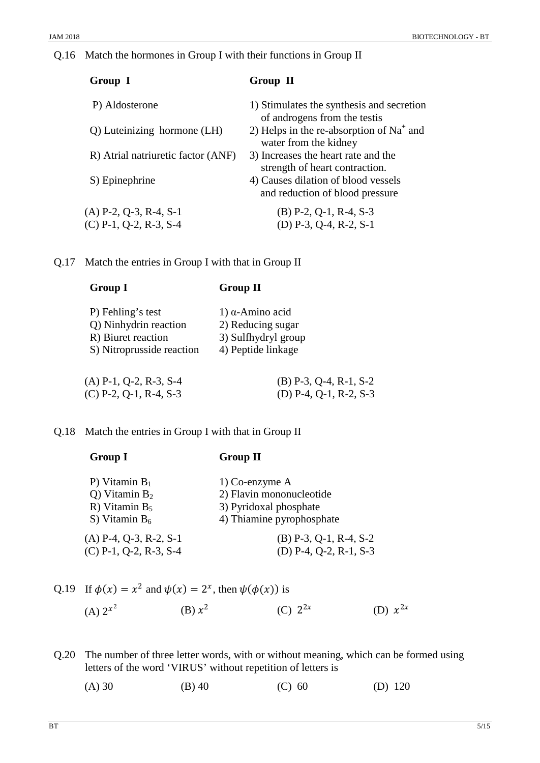Q.16 Match the hormones in Group I with their functions in Group II

| Group I                            | Group II                                                                  |
|------------------------------------|---------------------------------------------------------------------------|
| P) Aldosterone                     | 1) Stimulates the synthesis and secretion<br>of androgens from the testis |
| Q) Luteinizing hormone (LH)        | 2) Helps in the re-absorption of $Na+$ and<br>water from the kidney       |
| R) Atrial natriuretic factor (ANF) | 3) Increases the heart rate and the<br>strength of heart contraction.     |
| S) Epinephrine                     | 4) Causes dilation of blood vessels<br>and reduction of blood pressure    |
| $(A)$ P-2, Q-3, R-4, S-1           | $(B)$ P-2, Q-1, R-4, S-3                                                  |
| $(C)$ P-1, Q-2, R-3, S-4           | (D) $P-3$ , $Q-4$ , $R-2$ , $S-1$                                         |

Q.17 Match the entries in Group I with that in Group II

**Group I Group II**

| <b>OLVUP</b> 1            | OLVUP 11                 |  |
|---------------------------|--------------------------|--|
| P) Fehling's test         | 1) $α$ -Amino acid       |  |
| Q) Ninhydrin reaction     | 2) Reducing sugar        |  |
| R) Biuret reaction        | 3) Sulfhydryl group      |  |
| S) Nitroprusside reaction | 4) Peptide linkage       |  |
| $(A)$ P-1, Q-2, R-3, S-4  | $(B)$ P-3, Q-4, R-1, S-2 |  |
| $(C)$ P-2, Q-1, R-4, S-3  | (D) P-4, Q-1, R-2, S-3   |  |

Q.18 Match the entries in Group I with that in Group II

| <b>Group I</b>           | <b>Group II</b>           |  |
|--------------------------|---------------------------|--|
| P) Vitamin $B_1$         | $1)$ Co-enzyme A          |  |
| Q) Vitamin $B_2$         | 2) Flavin mononucleotide  |  |
| R) Vitamin $B_5$         | 3) Pyridoxal phosphate    |  |
| S) Vitamin $B_6$         | 4) Thiamine pyrophosphate |  |
| $(A)$ P-4, Q-3, R-2, S-1 | $(B)$ P-3, Q-1, R-4, S-2  |  |
| $(C)$ P-1, Q-2, R-3, S-4 | (D) P-4, Q-2, R-1, S-3    |  |

Q.19 If 
$$
\phi(x) = x^2
$$
 and  $\psi(x) = 2^x$ , then  $\psi(\phi(x))$  is  
\n(A)  $2^{x^2}$  (B)  $x^2$  (C)  $2^{2x}$  (D)  $x^{2x}$ 

Q.20 The number of three letter words, with or without meaning, which can be formed using letters of the word 'VIRUS' without repetition of letters is

| (A) 30 | $(B)$ 40 | (C) 60 | (D) $120$ |
|--------|----------|--------|-----------|
|        |          |        |           |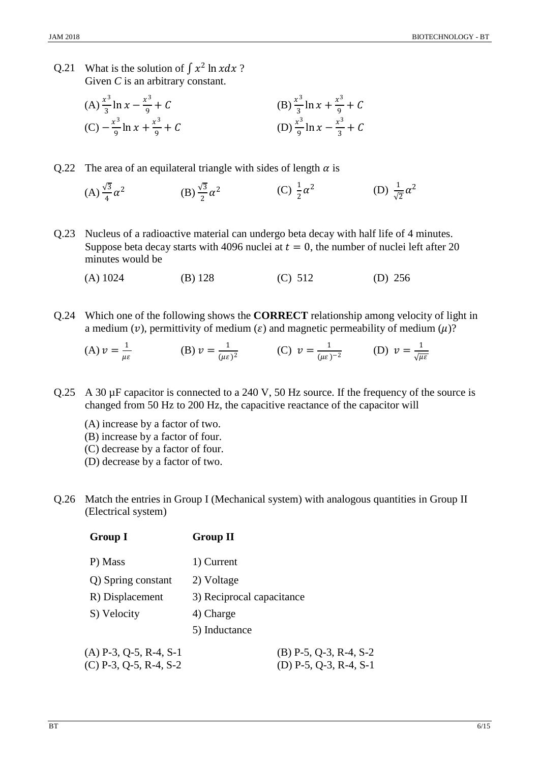- Q.21 What is the solution of  $\int x^2 \ln x dx$ ? Given *C* is an arbitrary constant.
	- (A)  $\frac{x^3}{3}$  ln  $x \frac{x^3}{9}$  $\frac{x^3}{9} + C$  (B)  $\frac{x^3}{3} \ln x + \frac{x^3}{9} + C$  $(C) - \frac{x^3}{9} \ln x + \frac{x^3}{9}$  $\frac{x^3}{9} + C$  (D)  $\frac{x^3}{9} \ln x - \frac{x^3}{3} + C$
- Q.22 The area of an equilateral triangle with sides of length  $\alpha$  is
	- $(A) \frac{\sqrt{3}}{4}$  $\alpha^2$  (B)  $\frac{\sqrt{3}}{2}\alpha^2$  (C)  $\frac{1}{2}\alpha^2$  (D)  $\frac{1}{\sqrt{2}}\alpha^2$
- Q.23 Nucleus of a radioactive material can undergo beta decay with half life of 4 minutes. Suppose beta decay starts with 4096 nuclei at  $t = 0$ , the number of nuclei left after 20 minutes would be
	- (A) 1024 (B) 128 (C) 512 (D) 256
- Q.24 Which one of the following shows the **CORRECT** relationship among velocity of light in a medium (v), permittivity of medium ( $\varepsilon$ ) and magnetic permeability of medium ( $\mu$ )?

(A) 
$$
v = \frac{1}{\mu \varepsilon}
$$
 \t(B)  $v = \frac{1}{(\mu \varepsilon)^2}$  \t(C)  $v = \frac{1}{(\mu \varepsilon)^{-2}}$  \t(D)  $v = \frac{1}{\sqrt{\mu \varepsilon}}$ 

- Q.25 A 30  $\mu$ F capacitor is connected to a 240 V, 50 Hz source. If the frequency of the source is changed from 50 Hz to 200 Hz, the capacitive reactance of the capacitor will
	- (A) increase by a factor of two.
	- (B) increase by a factor of four.
	- (C) decrease by a factor of four.
	- (D) decrease by a factor of two.
- Q.26 Match the entries in Group I (Mechanical system) with analogous quantities in Group II (Electrical system)

| <b>Group I</b>           | <b>Group II</b>                   |  |
|--------------------------|-----------------------------------|--|
| P) Mass                  | 1) Current                        |  |
| Q) Spring constant       | 2) Voltage                        |  |
| R) Displacement          | 3) Reciprocal capacitance         |  |
| S) Velocity              | 4) Charge                         |  |
|                          | 5) Inductance                     |  |
| $(A)$ P-3, Q-5, R-4, S-1 | $(B)$ P-5, Q-3, R-4, S-2          |  |
| $(C)$ P-3, Q-5, R-4, S-2 | (D) $P-5$ , $Q-3$ , $R-4$ , $S-1$ |  |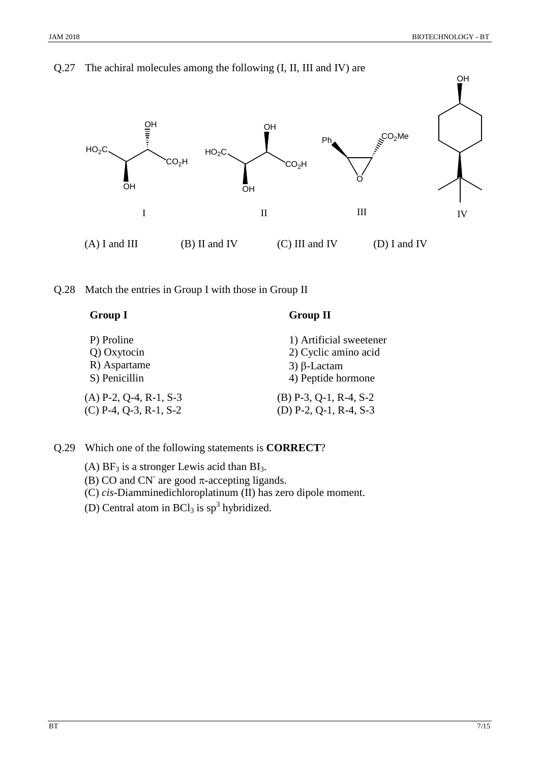

Q.27 The achiral molecules among the following (I, II, III and IV) are

Q.28 Match the entries in Group I with those in Group II

| <b>Group I</b>           | <b>Group II</b>                   |
|--------------------------|-----------------------------------|
| P) Proline               | 1) Artificial sweetener           |
| Q) Oxytocin              | 2) Cyclic amino acid              |
| R) Aspartame             | $3)$ $\beta$ -Lactam              |
| S) Penicillin            | 4) Peptide hormone                |
| $(A)$ P-2, Q-4, R-1, S-3 | $(B)$ P-3, Q-1, R-4, S-2          |
| $(C)$ P-4, Q-3, R-1, S-2 | (D) $P-2$ , $Q-1$ , $R-4$ , $S-3$ |

Q.29 Which one of the following statements is **CORRECT**?

(A)  $BF_3$  is a stronger Lewis acid than  $BI_3$ .

(B) CO and CN<sup>-</sup> are good  $\pi$ -accepting ligands.

(C) *cis*-Diamminedichloroplatinum (II) has zero dipole moment.

(D) Central atom in  $BCl<sub>3</sub>$  is  $sp<sup>3</sup>$  hybridized.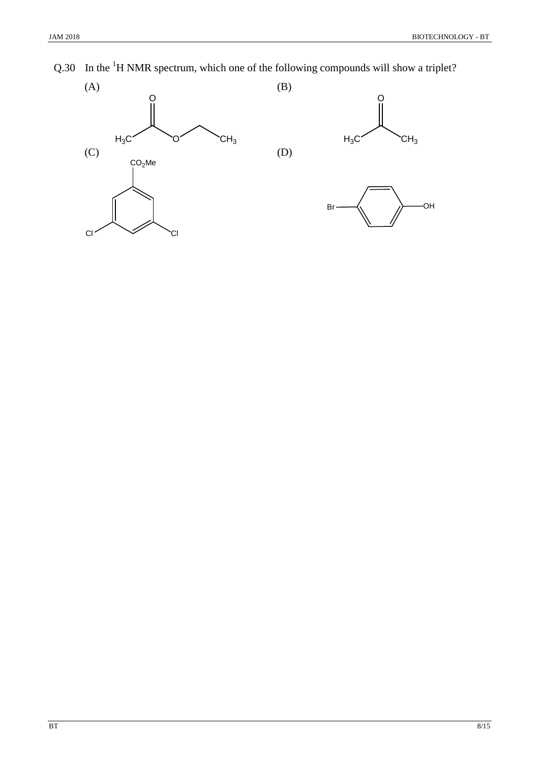Q.30 In the  ${}^{1}H$  NMR spectrum, which one of the following compounds will show a triplet?

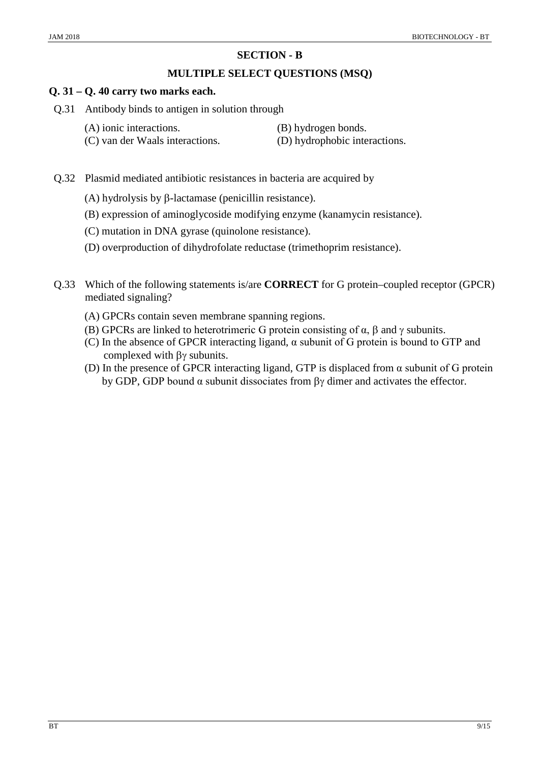### **SECTION - B**

#### **MULTIPLE SELECT QUESTIONS (MSQ)**

#### **Q. 31 – Q. 40 carry two marks each.**

- Q.31 Antibody binds to antigen in solution through
	-
	- (A) ionic interactions. (B) hydrogen bonds.
	- (C) van der Waals interactions. (D) hydrophobic interactions.
- 
- Q.32 Plasmid mediated antibiotic resistances in bacteria are acquired by
	- (A) hydrolysis by β-lactamase (penicillin resistance).
	- (B) expression of aminoglycoside modifying enzyme (kanamycin resistance).
	- (C) mutation in DNA gyrase (quinolone resistance).
	- (D) overproduction of dihydrofolate reductase (trimethoprim resistance).
- Q.33 Which of the following statements is/are **CORRECT** for G protein–coupled receptor (GPCR) mediated signaling?
	- (A) GPCRs contain seven membrane spanning regions.
	- (B) GPCRs are linked to heterotrimeric G protein consisting of  $\alpha$ ,  $\beta$  and  $\gamma$  subunits.
	- (C) In the absence of GPCR interacting ligand, α subunit of G protein is bound to GTP and complexed with βγ subunits.
	- (D) In the presence of GPCR interacting ligand, GTP is displaced from  $\alpha$  subunit of G protein by GDP, GDP bound α subunit dissociates from βγ dimer and activates the effector.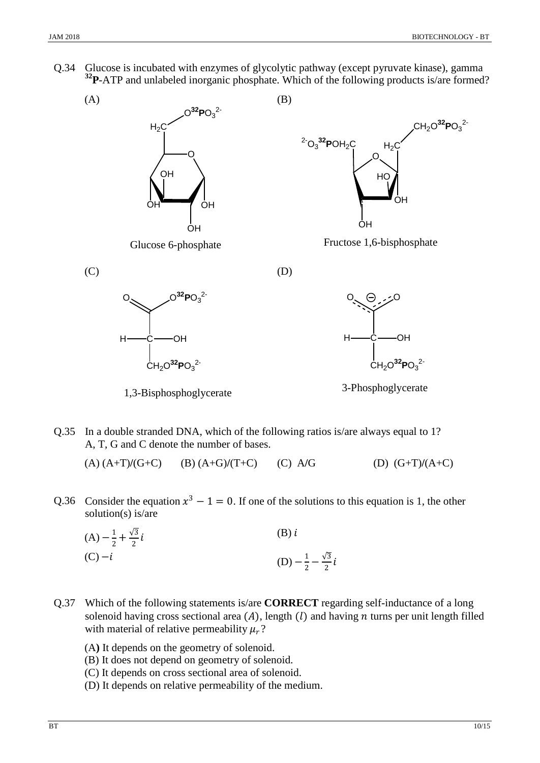Q.34 Glucose is incubated with enzymes of glycolytic pathway (except pyruvate kinase), gamma **32P**-ATP and unlabeled inorganic phosphate. Which of the following products is/are formed?



Q.35 In a double stranded DNA, which of the following ratios is/are always equal to 1? A, T, G and C denote the number of bases.

(A) (A+T)**/**(G+C) (B) (A+G)**/**(T+C) (C) A**/**G (D) (G+T)**/**(A+C)

Q.36 Consider the equation  $x^3 - 1 = 0$ . If one of the solutions to this equation is 1, the other solution(s) is/are

(A) 
$$
-\frac{1}{2} + \frac{\sqrt{3}}{2}i
$$
  
\n(B) i  
\n(C)  $-i$   
\n(D)  $-\frac{1}{2} - \frac{\sqrt{3}}{2}i$ 

- Q.37 Which of the following statements is/are **CORRECT** regarding self-inductance of a long solenoid having cross sectional area  $(A)$ , length  $(I)$  and having  $n$  turns per unit length filled with material of relative permeability  $\mu_r$ ?
	- (A**)** It depends on the geometry of solenoid.
	- (B) It does not depend on geometry of solenoid.
	- (C) It depends on cross sectional area of solenoid.
	- (D) It depends on relative permeability of the medium.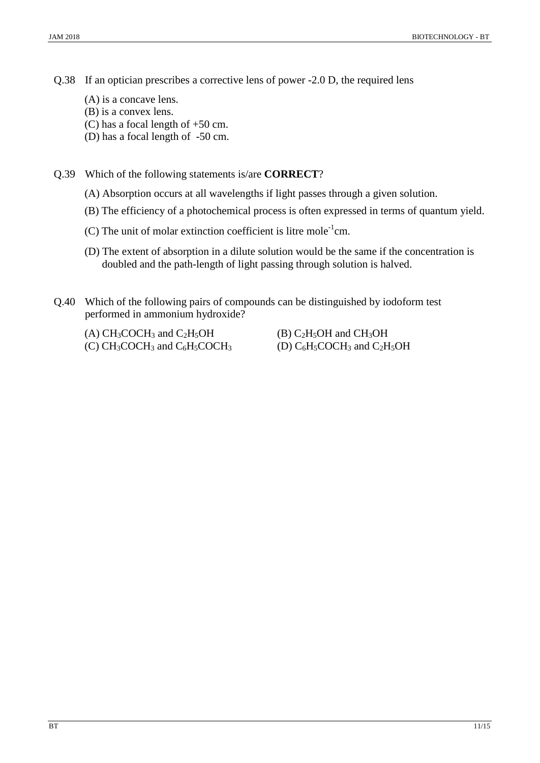Q.38 If an optician prescribes a corrective lens of power -2.0 D, the required lens

- (A) is a concave lens.
- (B) is a convex lens.
- (C) has a focal length of +50 cm.
- (D) has a focal length of -50 cm.

Q.39 Which of the following statements is/are **CORRECT**?

- (A) Absorption occurs at all wavelengths if light passes through a given solution.
- (B) The efficiency of a photochemical process is often expressed in terms of quantum yield.
- (C) The unit of molar extinction coefficient is litre mole<sup>-1</sup>cm.
- (D) The extent of absorption in a dilute solution would be the same if the concentration is doubled and the path-length of light passing through solution is halved.
- Q.40 Which of the following pairs of compounds can be distinguished by iodoform test performed in ammonium hydroxide?
	-
	- (C) CH<sub>3</sub>COCH<sub>3</sub> and C<sub>6</sub>H<sub>5</sub>COCH<sub>3</sub>

(A) CH<sub>3</sub>COCH<sub>3</sub> and C<sub>2</sub>H<sub>5</sub>OH (B) C<sub>2</sub>H<sub>5</sub>OH and CH<sub>3</sub>OH (C) CH<sub>3</sub>COCH<sub>3</sub> and C<sub>6</sub>H<sub>5</sub>COCH<sub>3</sub> (D) C<sub>6</sub>H<sub>5</sub>COCH<sub>3</sub> and C<sub>2</sub>H<sub>5</sub>OH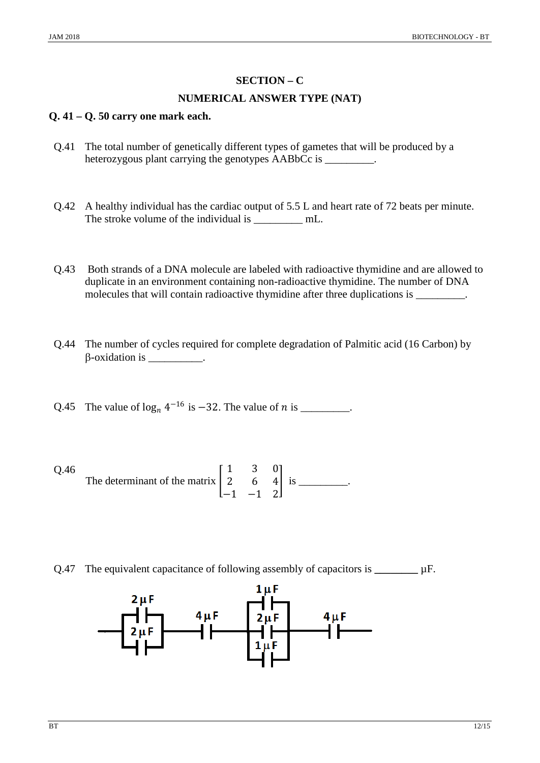## **SECTION – C**

#### **NUMERICAL ANSWER TYPE (NAT)**

#### **Q. 41 – Q. 50 carry one mark each.**

- Q.41 The total number of genetically different types of gametes that will be produced by a heterozygous plant carrying the genotypes AABbCc is \_\_\_\_\_\_\_\_.
- Q.42 A healthy individual has the cardiac output of 5.5 L and heart rate of 72 beats per minute. The stroke volume of the individual is \_\_\_\_\_\_\_\_\_\_ mL.
- Q.43 Both strands of a DNA molecule are labeled with radioactive thymidine and are allowed to duplicate in an environment containing non-radioactive thymidine. The number of DNA molecules that will contain radioactive thymidine after three duplications is \_\_\_\_\_\_\_\_\_.
- Q.44 The number of cycles required for complete degradation of Palmitic acid (16 Carbon) by  $\beta$ -oxidation is \_\_\_\_\_\_\_\_\_.
- Q.45 The value of  $\log_n 4^{-16}$  is  $-32$ . The value of *n* is \_\_\_\_\_\_\_\_.

Q.46 The determinant of the matrix 
$$
\begin{bmatrix} 1 & 3 & 0 \\ 2 & 6 & 4 \\ -1 & -1 & 2 \end{bmatrix}
$$
 is \_\_\_\_\_\_\_.

Q.47 The equivalent capacitance of following assembly of capacitors is **\_\_\_\_\_\_\_\_** µF.

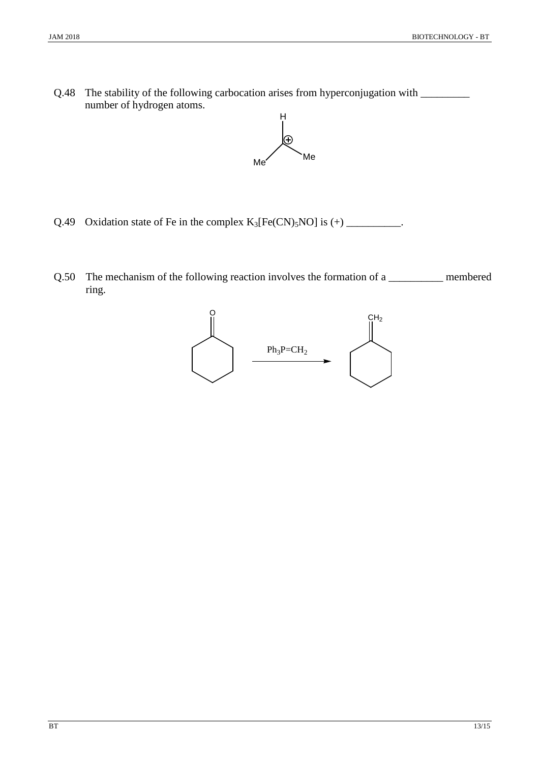Q.48 The stability of the following carbocation arises from hyperconjugation with \_\_\_\_\_\_\_\_\_ number of hydrogen atoms.



- Q.49 Oxidation state of Fe in the complex  $K_3[Fe(CN)_5NO]$  is  $(+)$  \_\_\_\_\_\_\_\_\_\_\_.
- Q.50 The mechanism of the following reaction involves the formation of a \_\_\_\_\_\_\_\_\_\_\_\_ membered ring.

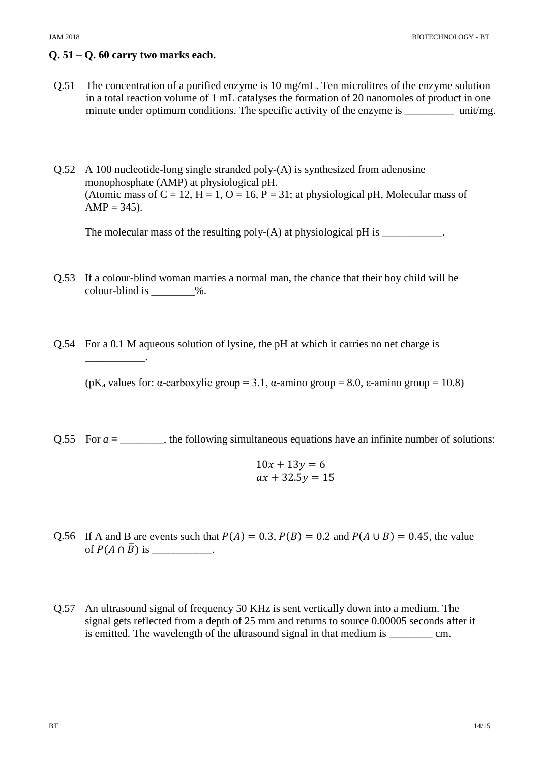#### **Q. 51 – Q. 60 carry two marks each.**

\_\_\_\_\_\_\_\_\_\_\_.

- Q.51 The concentration of a purified enzyme is 10 mg/mL. Ten microlitres of the enzyme solution in a total reaction volume of 1 mL catalyses the formation of 20 nanomoles of product in one minute under optimum conditions. The specific activity of the enzyme is \_\_\_\_\_\_\_\_\_\_ unit/mg.
- Q.52 A 100 nucleotide-long single stranded poly-(A) is synthesized from adenosine monophosphate (AMP) at physiological pH. (Atomic mass of  $C = 12$ ,  $H = 1$ ,  $O = 16$ ,  $P = 31$ ; at physiological pH, Molecular mass of  $AMP = 345$ ).

The molecular mass of the resulting poly- $(A)$  at physiological pH is  $\frac{1}{\sqrt{2\pi}}$ .

- Q.53 If a colour-blind woman marries a normal man, the chance that their boy child will be colour-blind is \_\_\_\_\_\_\_\_%.
- Q.54 For a 0.1 M aqueous solution of lysine, the pH at which it carries no net charge is

(pK<sub>a</sub> values for:  $\alpha$ -carboxylic group = 3.1,  $\alpha$ -amino group = 8.0,  $\epsilon$ -amino group = 10.8)

Q.55 For  $a =$  \_\_\_\_\_\_\_, the following simultaneous equations have an infinite number of solutions:

$$
10x + 13y = 6
$$
  

$$
ax + 32.5y = 15
$$

- Q.56 If A and B are events such that  $P(A) = 0.3$ ,  $P(B) = 0.2$  and  $P(A \cup B) = 0.45$ , the value of  $P(A \cap \overline{B})$  is \_\_\_\_\_\_\_\_\_\_\_.
- Q.57 An ultrasound signal of frequency 50 KHz is sent vertically down into a medium. The signal gets reflected from a depth of 25 mm and returns to source 0.00005 seconds after it is emitted. The wavelength of the ultrasound signal in that medium is \_\_\_\_\_\_\_\_ cm.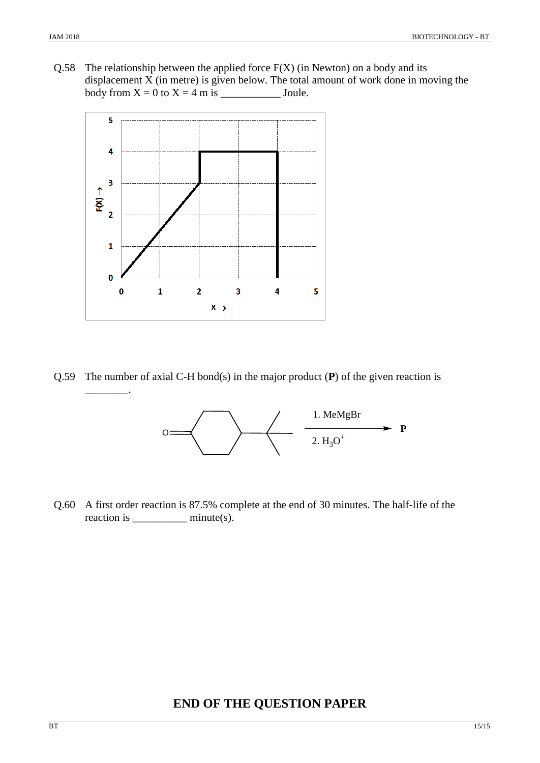$\overline{\phantom{a}}$  .

Q.58 The relationship between the applied force  $F(X)$  (in Newton) on a body and its displacement X (in metre) is given below. The total amount of work done in moving the body from X = 0 to X = 4 m is \_\_\_\_\_\_\_\_\_\_\_ Joule.



Q.59 The number of axial C-H bond(s) in the major product (**P**) of the given reaction is



Q.60 A first order reaction is 87.5% complete at the end of 30 minutes. The half-life of the reaction is \_\_\_\_\_\_\_\_\_\_ minute(s).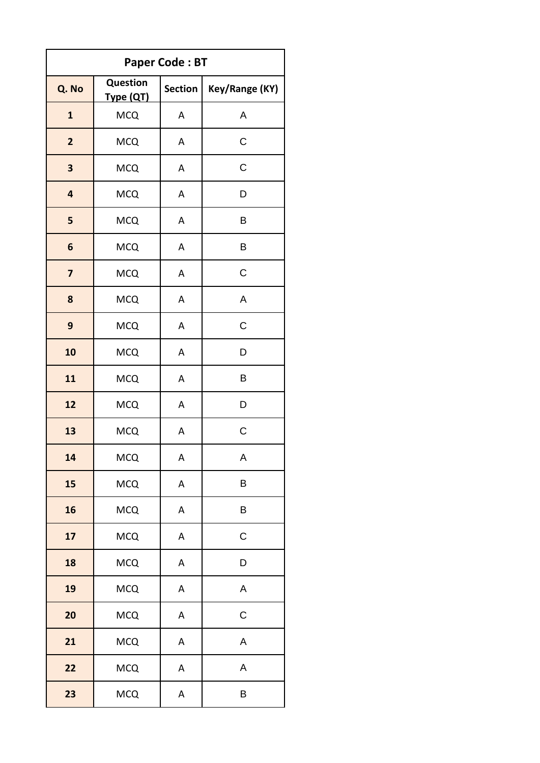| <b>Paper Code: BT</b>   |                              |                |                |  |
|-------------------------|------------------------------|----------------|----------------|--|
| Q. No                   | <b>Question</b><br>Type (QT) | <b>Section</b> | Key/Range (KY) |  |
| $\mathbf{1}$            | <b>MCQ</b>                   | A              | A              |  |
| $\overline{2}$          | <b>MCQ</b>                   | А              | $\mathsf C$    |  |
| 3                       | <b>MCQ</b>                   | A              | $\mathsf C$    |  |
| 4                       | <b>MCQ</b>                   | А              | D              |  |
| 5                       | <b>MCQ</b>                   | A              | Β              |  |
| 6                       | <b>MCQ</b>                   | A              | B              |  |
| $\overline{\mathbf{z}}$ | <b>MCQ</b>                   | А              | C              |  |
| 8                       | <b>MCQ</b>                   | A              | $\sf A$        |  |
| 9                       | <b>MCQ</b>                   | A              | $\mathsf C$    |  |
| 10                      | <b>MCQ</b>                   | A              | D              |  |
| 11                      | <b>MCQ</b>                   | А              | B              |  |
| 12                      | <b>MCQ</b>                   | A              | D              |  |
| 13                      | <b>MCQ</b>                   | A              | $\mathsf C$    |  |
| 14                      | <b>MCQ</b>                   | А              | Α              |  |
| 15                      | <b>MCQ</b>                   | A              | B              |  |
| 16                      | <b>MCQ</b>                   | A              | B              |  |
| 17                      | <b>MCQ</b>                   | А              | $\mathsf C$    |  |
| 18                      | <b>MCQ</b>                   | А              | D              |  |
| 19                      | <b>MCQ</b>                   | А              | A              |  |
| 20                      | <b>MCQ</b>                   | А              | $\mathsf C$    |  |
| 21                      | <b>MCQ</b>                   | A              | A              |  |
| 22                      | <b>MCQ</b>                   | A              | A              |  |
| 23                      | <b>MCQ</b>                   | А              | B              |  |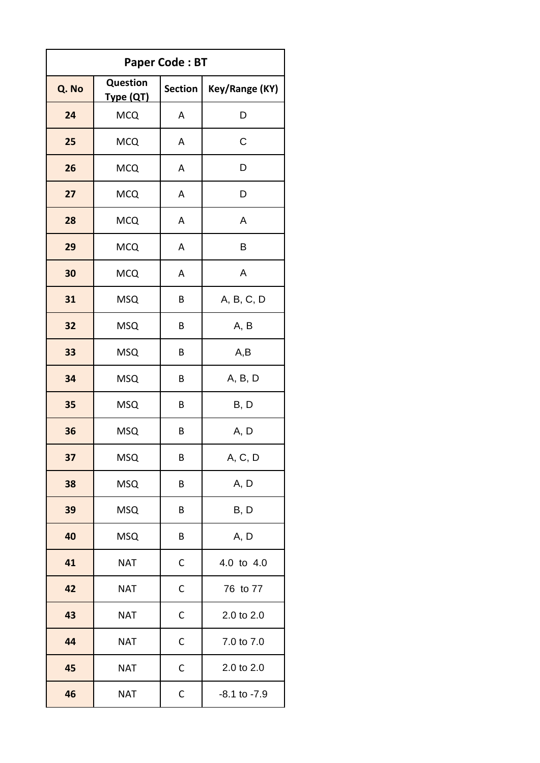| <b>Paper Code: BT</b> |                       |                |                  |
|-----------------------|-----------------------|----------------|------------------|
| Q. No                 | Question<br>Type (QT) | <b>Section</b> | Key/Range (KY)   |
| 24                    | <b>MCQ</b>            | Α              | D                |
| 25                    | <b>MCQ</b>            | Α              | C                |
| 26                    | <b>MCQ</b>            | A              | D                |
| 27                    | <b>MCQ</b>            | A              | D                |
| 28                    | <b>MCQ</b>            | А              | A                |
| 29                    | <b>MCQ</b>            | A              | B                |
| 30                    | <b>MCQ</b>            | A              | A                |
| 31                    | <b>MSQ</b>            | B              | A, B, C, D       |
| 32                    | <b>MSQ</b>            | В              | A, B             |
| 33                    | <b>MSQ</b>            | B              | A,B              |
| 34                    | <b>MSQ</b>            | В              | A, B, D          |
| 35                    | <b>MSQ</b>            | В              | B, D             |
| 36                    | <b>MSQ</b>            | В              | A, D             |
| 37                    | <b>MSQ</b>            | В              | A, C, D          |
| 38                    | <b>MSQ</b>            | B              | A, D             |
| 39                    | <b>MSQ</b>            | B              | B, D             |
| 40                    | <b>MSQ</b>            | B              | A, D             |
| 41                    | <b>NAT</b>            | С              | 4.0 to 4.0       |
| 42                    | <b>NAT</b>            | C              | 76 to 77         |
| 43                    | <b>NAT</b>            | C              | 2.0 to 2.0       |
| 44                    | <b>NAT</b>            | $\mathsf{C}$   | 7.0 to 7.0       |
| 45                    | <b>NAT</b>            | $\mathsf{C}$   | 2.0 to 2.0       |
| 46                    | <b>NAT</b>            | C              | $-8.1$ to $-7.9$ |